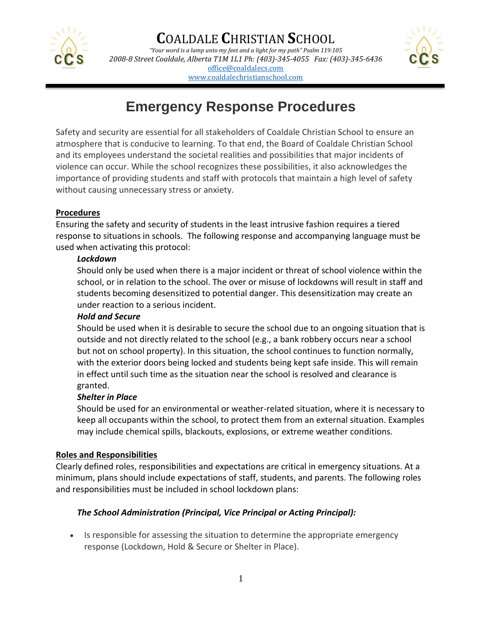

*"Your word is a lamp unto my feet and a light for my path" Psalm 119:105 2008-8 Street Coaldale, Alberta T1M 1L1 Ph: (403)-345-4055 Fax: (403)-345-6436* [office@coaldalecs.com](mailto:office@coaldalecs.com) [www.coaldalechristianschool.com](http://www.coaldalechristianschool.com/)



# **Emergency Response Procedures**

Safety and security are essential for all stakeholders of Coaldale Christian School to ensure an atmosphere that is conducive to learning. To that end, the Board of Coaldale Christian School and its employees understand the societal realities and possibilities that major incidents of violence can occur. While the school recognizes these possibilities, it also acknowledges the importance of providing students and staff with protocols that maintain a high level of safety without causing unnecessary stress or anxiety.

#### **Procedures**

Ensuring the safety and security of students in the least intrusive fashion requires a tiered response to situations in schools. The following response and accompanying language must be used when activating this protocol:

#### *Lockdown*

Should only be used when there is a major incident or threat of school violence within the school, or in relation to the school. The over or misuse of lockdowns will result in staff and students becoming desensitized to potential danger. This desensitization may create an under reaction to a serious incident.

## *Hold and Secure*

Should be used when it is desirable to secure the school due to an ongoing situation that is outside and not directly related to the school (e.g., a bank robbery occurs near a school but not on school property). In this situation, the school continues to function normally, with the exterior doors being locked and students being kept safe inside. This will remain in effect until such time as the situation near the school is resolved and clearance is granted.

#### *Shelter in Place*

Should be used for an environmental or weather-related situation, where it is necessary to keep all occupants within the school, to protect them from an external situation. Examples may include chemical spills, blackouts, explosions, or extreme weather conditions.

#### **Roles and Responsibilities**

Clearly defined roles, responsibilities and expectations are critical in emergency situations. At a minimum, plans should include expectations of staff, students, and parents. The following roles and responsibilities must be included in school lockdown plans:

## *The School Administration (Principal, Vice Principal or Acting Principal):*

• Is responsible for assessing the situation to determine the appropriate emergency response (Lockdown, Hold & Secure or Shelter in Place).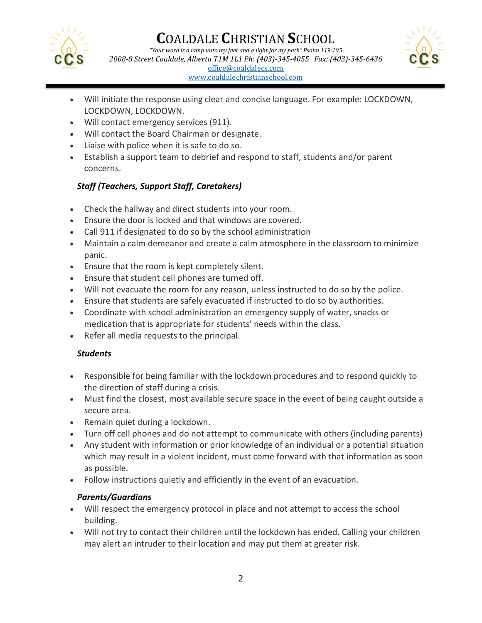

[www.coaldalechristianschool.com](http://www.coaldalechristianschool.com/)



- Will initiate the response using clear and concise language. For example: LOCKDOWN, LOCKDOWN, LOCKDOWN.
- Will contact emergency services (911).
- Will contact the Board Chairman or designate.
- Liaise with police when it is safe to do so.
- Establish a support team to debrief and respond to staff, students and/or parent concerns.

## *Staff (Teachers, Support Staff, Caretakers)*

- Check the hallway and direct students into your room.
- Ensure the door is locked and that windows are covered.
- Call 911 if designated to do so by the school administration
- Maintain a calm demeanor and create a calm atmosphere in the classroom to minimize panic.
- Ensure that the room is kept completely silent.
- Ensure that student cell phones are turned off.
- Will not evacuate the room for any reason, unless instructed to do so by the police.
- Ensure that students are safely evacuated if instructed to do so by authorities.
- Coordinate with school administration an emergency supply of water, snacks or medication that is appropriate for students' needs within the class.
- Refer all media requests to the principal.

## *Students*

- Responsible for being familiar with the lockdown procedures and to respond quickly to the direction of staff during a crisis.
- Must find the closest, most available secure space in the event of being caught outside a secure area.
- Remain quiet during a lockdown.
- Turn off cell phones and do not attempt to communicate with others (including parents)
- Any student with information or prior knowledge of an individual or a potential situation which may result in a violent incident, must come forward with that information as soon as possible.
- Follow instructions quietly and efficiently in the event of an evacuation.

## *Parents/Guardians*

- Will respect the emergency protocol in place and not attempt to access the school building.
- Will not try to contact their children until the lockdown has ended. Calling your children may alert an intruder to their location and may put them at greater risk.